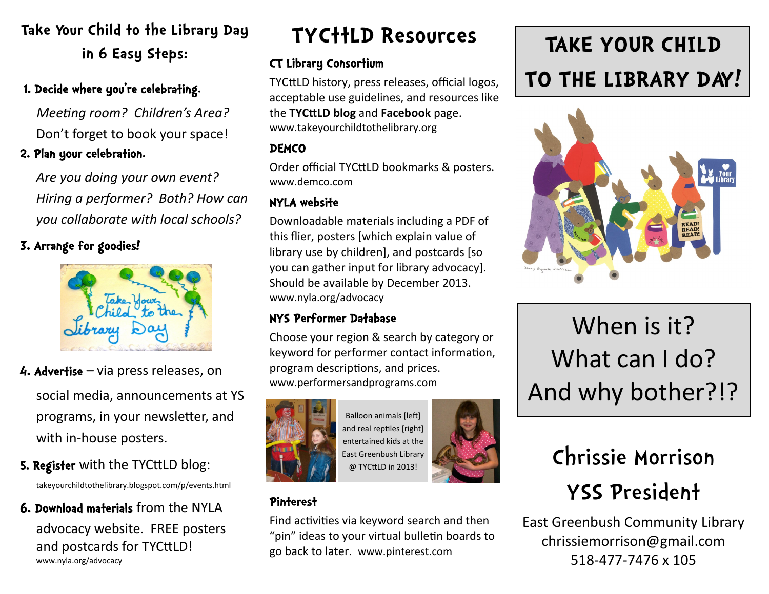## **Take Your Child to the Library Day in 6 Easy Steps:**

## 1. Decide where you're celebrating.

*Meeting room? Children's Area?* Don't forget to book your space!

### 2. Plan your celebration.

*Are you doing your own event? Hiring a performer? Both? How can you collaborate with local schools?* 

3. Arrange for goodies!



- 4. Advertise via press releases, on social media, announcements at YS programs, in your newsletter, and with in-house posters.
- 5. Register with the TYCttLD blog: takeyourchildtothelibrary.blogspot.com/p/events.html
- 6. Download materials from the NYLA advocacy website. FREE posters and postcards for TYCttLD! www.nyla.org/advocacy

## **TYCttLD Resources**

### CT Library Consortium

TYCttLD history, press releases, official logos, acceptable use guidelines, and resources like the **TYCttLD blog** and **Facebook** page. www.takeyourchildtothelibrary.org

### **DEMCO**

Order official TYCttLD bookmarks & posters. www.demco.com

## NYLA website

Downloadable materials including a PDF of this flier, posters [which explain value of library use by children], and postcards [so you can gather input for library advocacy]. Should be available by December 2013. www.nyla.org/advocacy

## NYS Performer Database

Choose your region & search by category or keyword for performer contact information, program descriptions, and prices. www.performersandprograms.com



Balloon animals [left] and real reptiles [right] entertained kids at the East Greenbush Library @ TYCttLD in 2013!

## Pinterest

Find activities via keyword search and then "pin" ideas to your virtual bulletin boards to go back to later. www.pinterest.com

# **TAKE YOUR CHILD TO THE LIBRARY DAY!**



# When is it? What can I do? And why bother?!?

# Chrissie Morrison YSS President

East Greenbush Community Library chrissiemorrison@gmail.com 518-477-7476 x 105